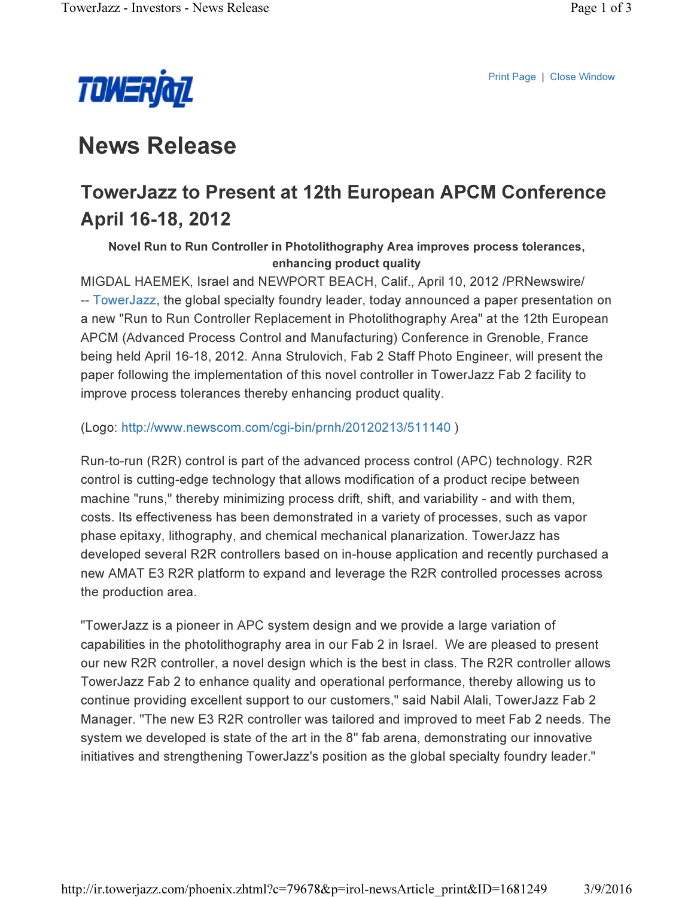



# News Release

## TowerJazz to Present at 12th European APCM Conference April 16-18, 2012

Novel Run to Run Controller in Photolithography Area improves process tolerances, enhancing product quality

MIGDAL HAEMEK, Israel and NEWPORT BEACH, Calif., April 10, 2012 /PRNewswire/ -- TowerJazz, the global specialty foundry leader, today announced a paper presentation on a new "Run to Run Controller Replacement in Photolithography Area" at the 12th European APCM (Advanced Process Control and Manufacturing) Conference in Grenoble, France being held April 16-18, 2012. Anna Strulovich, Fab 2 Staff Photo Engineer, will present the paper following the implementation of this novel controller in TowerJazz Fab 2 facility to improve process tolerances thereby enhancing product quality.

(Logo: http://www.newscom.com/cgi-bin/prnh/20120213/511140 )

Run-to-run (R2R) control is part of the advanced process control (APC) technology. R2R control is cutting-edge technology that allows modification of a product recipe between machine "runs," thereby minimizing process drift, shift, and variability - and with them, costs. Its effectiveness has been demonstrated in a variety of processes, such as vapor phase epitaxy, lithography, and chemical mechanical planarization. TowerJazz has developed several R2R controllers based on in-house application and recently purchased a new AMAT E3 R2R platform to expand and leverage the R2R controlled processes across the production area.

"TowerJazz is a pioneer in APC system design and we provide a large variation of capabilities in the photolithography area in our Fab 2 in Israel. We are pleased to present our new R2R controller, a novel design which is the best in class. The R2R controller allows TowerJazz Fab 2 to enhance quality and operational performance, thereby allowing us to continue providing excellent support to our customers," said Nabil Alali, TowerJazz Fab 2 Manager. "The new E3 R2R controller was tailored and improved to meet Fab 2 needs. The system we developed is state of the art in the 8" fab arena, demonstrating our innovative initiatives and strengthening TowerJazz's position as the global specialty foundry leader."